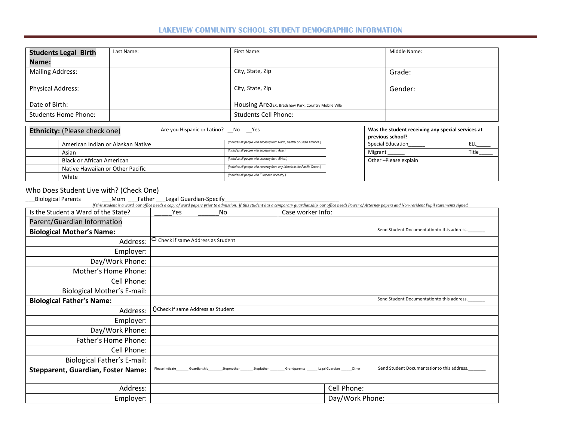## **LAKEVIEW COMMUNITY SCHOOL STUDENT DEMOGRAPHIC INFORMATION**

| <b>Students Legal Birth</b> | Last Name: | First Name:                                         | Middle Name: |
|-----------------------------|------------|-----------------------------------------------------|--------------|
| Name:                       |            |                                                     |              |
| <b>Mailing Address:</b>     |            | City, State, Zip                                    | Grade:       |
| <b>Physical Address:</b>    |            | City, State, Zip                                    | Gender:      |
| Date of Birth:              |            | Housing AreaEx: Bradshaw Park, Country Mobile Villa |              |
| <b>Students Home Phone:</b> |            | <b>Students Cell Phone:</b>                         |              |

| <b>Ethnicity:</b> (Please check one) | Are you Hispanic or Latino? No Yes |                                                                            | Was the student receiving any special services at |       |
|--------------------------------------|------------------------------------|----------------------------------------------------------------------------|---------------------------------------------------|-------|
|                                      |                                    |                                                                            | previous school?                                  |       |
| American Indian or Alaskan Native    |                                    | (Includes all people with ancestry from North, Central or South America.)  | <b>Special Education</b>                          | ELL   |
| Asian                                |                                    | (Includes all people with ancestry from Asia.)                             | Migrant                                           | Title |
| <b>Black or African American</b>     |                                    | (Includes all people with ancestry from Africa.)                           | Other-Please explain                              |       |
| Native Hawaiian or Other Pacific     |                                    | (Includes all people with ancestry from any Islands in the Pacific Ocean.) |                                                   |       |
| White                                |                                    | (Includes all people with European ancestry.)                              |                                                   |       |

# Who Does Student Live with? (Check One)

Biological Parents Mom Father Legal Guardian-Specify Entimated by this student has a temporary guardianship, our office needs Power of Attorney papers and Non-resident Pupil statements signed.

| Is the Student a Ward of the State?       | Yes                                | No         | Case worker Info:                                                                                   |
|-------------------------------------------|------------------------------------|------------|-----------------------------------------------------------------------------------------------------|
| Parent/Guardian Information               |                                    |            |                                                                                                     |
| <b>Biological Mother's Name:</b>          |                                    |            | Send Student Documentationto this address.                                                          |
| Address:                                  | O Check if same Address as Student |            |                                                                                                     |
| Employer:                                 |                                    |            |                                                                                                     |
| Day/Work Phone:                           |                                    |            |                                                                                                     |
| Mother's Home Phone:                      |                                    |            |                                                                                                     |
| Cell Phone:                               |                                    |            |                                                                                                     |
| <b>Biological Mother's E-mail:</b>        |                                    |            |                                                                                                     |
| <b>Biological Father's Name:</b>          |                                    |            | Send Student Documentationto this address.                                                          |
| Address:                                  | OCheck if same Address as Student  |            |                                                                                                     |
| Employer:                                 |                                    |            |                                                                                                     |
| Day/Work Phone:                           |                                    |            |                                                                                                     |
| Father's Home Phone:                      |                                    |            |                                                                                                     |
| Cell Phone:                               |                                    |            |                                                                                                     |
| <b>Biological Father's E-mail:</b>        |                                    |            |                                                                                                     |
| <b>Stepparent, Guardian, Foster Name:</b> | Please indicate<br>Guardianship    | Stepmother | Send Student Documentationto this address.<br>Stepfather<br>Other<br>Legal Guardian<br>Grandparents |
| Address:                                  |                                    |            | Cell Phone:                                                                                         |
| Employer:                                 |                                    |            | Day/Work Phone:                                                                                     |